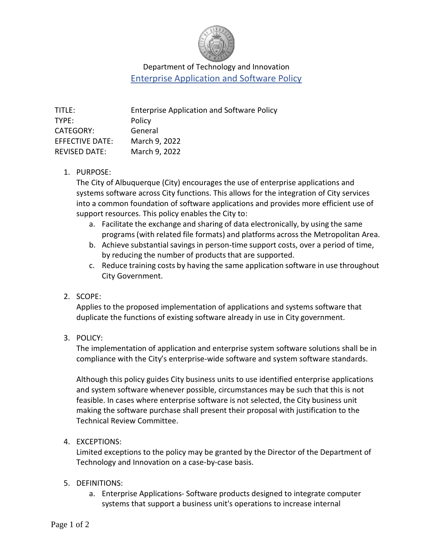

# Department of Technology and Innovation Enterprise Application and Software Policy

#### 1. PURPOSE:

The City of Albuquerque (City) encourages the use of enterprise applications and systems software across City functions. This allows for the integration of City services into a common foundation of software applications and provides more efficient use of support resources. This policy enables the City to:

- a. Facilitate the exchange and sharing of data electronically, by using the same programs (with related file formats) and platforms across the Metropolitan Area.
- b. Achieve substantial savings in person-time support costs, over a period of time, by reducing the number of products that are supported.
- c. Reduce training costs by having the same application software in use throughout City Government.

### 2. SCOPE:

Applies to the proposed implementation of applications and systems software that duplicate the functions of existing software already in use in City government.

3. POLICY:

The implementation of application and enterprise system software solutions shall be in compliance with the City's enterprise-wide software and system software standards.

Although this policy guides City business units to use identified enterprise applications and system software whenever possible, circumstances may be such that this is not feasible. In cases where enterprise software is not selected, the City business unit making the software purchase shall present their proposal with justification to the Technical Review Committee.

### 4. EXCEPTIONS:

Limited exceptions to the policy may be granted by the Director of the Department of Technology and Innovation on a case-by-case basis.

### 5. DEFINITIONS:

a. Enterprise Applications- Software products designed to integrate computer systems that support a business unit's operations to increase internal